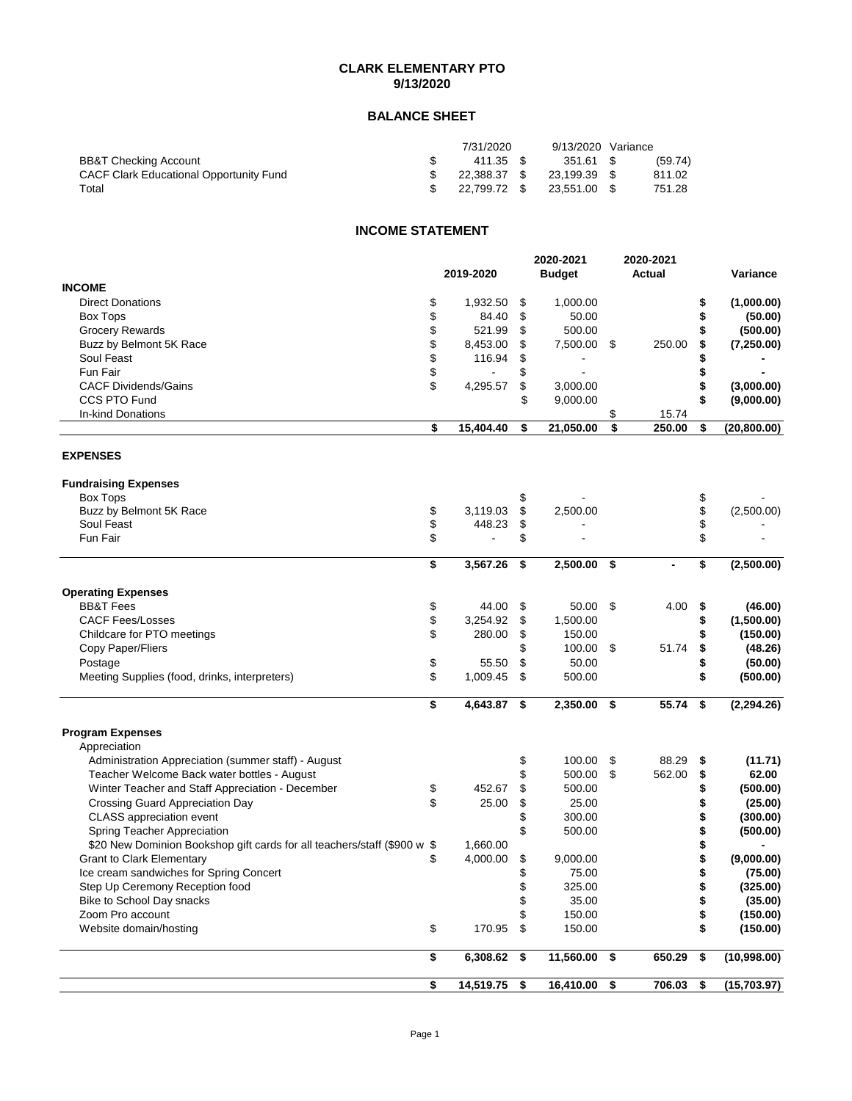#### **CLARK ELEMENTARY PTO 9/13/2020**

# **BALANCE SHEET**

|                                         | 7/31/2020 |              |  | 9/13/2020 Variance                     |         |
|-----------------------------------------|-----------|--------------|--|----------------------------------------|---------|
| BB&T Checking Account                   |           | 411.35 \$    |  | 351.61 \$                              | (59.74) |
| CACF Clark Educational Opportunity Fund |           | 22.388.37 \$ |  | 23.199.39 \$                           | 811.02  |
| Total                                   |           |              |  | $$22.799.72 \quad $23.551.00 \quad $$$ | 751.28  |

## **INCOME STATEMENT**

|                                                                          | 2020-2021          |          |                | 2020-2021 |                 |                    |  |
|--------------------------------------------------------------------------|--------------------|----------|----------------|-----------|-----------------|--------------------|--|
| <b>INCOME</b>                                                            | 2019-2020          |          | <b>Budget</b>  |           | <b>Actual</b>   | Variance           |  |
| <b>Direct Donations</b>                                                  | \$<br>1,932.50     | \$       | 1,000.00       |           |                 | \$<br>(1,000.00)   |  |
| Box Tops                                                                 | \$<br>84.40        | \$       | 50.00          |           |                 | (50.00)            |  |
| <b>Grocery Rewards</b>                                                   | 521.99             | \$       | 500.00         |           |                 | (500.00)           |  |
|                                                                          | \$                 |          |                |           |                 |                    |  |
| Buzz by Belmont 5K Race                                                  | \$<br>8,453.00     | \$<br>\$ | 7,500.00 \$    |           | 250.00          | (7,250.00)         |  |
| Soul Feast                                                               | \$<br>116.94       |          |                |           |                 |                    |  |
| Fun Fair                                                                 | \$                 | \$       |                |           |                 |                    |  |
| <b>CACF Dividends/Gains</b><br>CCS PTO Fund                              | \$<br>4,295.57     | \$       | 3,000.00       |           |                 | (3,000.00)         |  |
|                                                                          |                    | \$       | 9,000.00       |           |                 | \$<br>(9,000.00)   |  |
| In-kind Donations                                                        | \$<br>15,404.40    | \$       | 21,050.00      | \$<br>\$  | 15.74<br>250.00 | \$<br>(20, 800.00) |  |
|                                                                          |                    |          |                |           |                 |                    |  |
| <b>EXPENSES</b>                                                          |                    |          |                |           |                 |                    |  |
| <b>Fundraising Expenses</b>                                              |                    |          |                |           |                 |                    |  |
| Box Tops                                                                 |                    | \$       |                |           |                 | \$                 |  |
| Buzz by Belmont 5K Race                                                  | \$<br>3,119.03     | \$       | 2,500.00       |           |                 | \$<br>(2,500.00)   |  |
| Soul Feast                                                               | \$<br>448.23       | \$       |                |           |                 | \$                 |  |
| Fun Fair                                                                 | \$                 | \$       |                |           |                 | \$                 |  |
|                                                                          | \$<br>3,567.26     | \$       | 2,500.00       | \$        | $\overline{a}$  | \$<br>(2,500.00)   |  |
| <b>Operating Expenses</b>                                                |                    |          |                |           |                 |                    |  |
| <b>BB&amp;T</b> Fees                                                     | \$<br>44.00        | \$       | 50.00          | -\$       | 4.00            | \$<br>(46.00)      |  |
| <b>CACF Fees/Losses</b>                                                  | \$<br>3,254.92     | \$       | 1,500.00       |           |                 | \$<br>(1,500.00)   |  |
|                                                                          | \$<br>280.00       |          | 150.00         |           |                 |                    |  |
| Childcare for PTO meetings                                               |                    | \$<br>\$ |                |           |                 | (150.00)           |  |
| Copy Paper/Fliers                                                        |                    |          | 100.00         | \$        | 51.74           | \$<br>(48.26)      |  |
| Postage                                                                  | \$<br>55.50        | \$       | 50.00          |           |                 | \$<br>(50.00)      |  |
| Meeting Supplies (food, drinks, interpreters)                            | \$<br>1,009.45     | \$       | 500.00         |           |                 | \$<br>(500.00)     |  |
|                                                                          | \$<br>4,643.87     | \$       | 2,350.00       | \$        | 55.74           | \$<br>(2, 294.26)  |  |
| <b>Program Expenses</b>                                                  |                    |          |                |           |                 |                    |  |
| Appreciation                                                             |                    |          |                |           |                 |                    |  |
| Administration Appreciation (summer staff) - August                      |                    | \$       | 100.00         | \$        | 88.29           | \$<br>(11.71)      |  |
| Teacher Welcome Back water bottles - August                              |                    | \$       | 500.00         | \$        | 562.00          | \$<br>62.00        |  |
| Winter Teacher and Staff Appreciation - December                         | \$<br>452.67       | \$       | 500.00         |           |                 | \$<br>(500.00)     |  |
| Crossing Guard Appreciation Day                                          | \$<br>25.00        | \$       | 25.00          |           |                 | (25.00)            |  |
| <b>CLASS</b> appreciation event                                          |                    | \$       | 300.00         |           |                 | (300.00)           |  |
| Spring Teacher Appreciation                                              |                    | \$       | 500.00         |           |                 | \$<br>(500.00)     |  |
| \$20 New Dominion Bookshop gift cards for all teachers/staff (\$900 w \$ | 1,660.00           |          |                |           |                 |                    |  |
| <b>Grant to Clark Elementary</b>                                         | \$<br>4,000.00     | \$       | 9,000.00       |           |                 | \$<br>(9,000.00)   |  |
| Ice cream sandwiches for Spring Concert                                  |                    | \$.      | 75.00          |           |                 | (75.00)            |  |
| Step Up Ceremony Reception food                                          |                    | \$       | 325.00         |           |                 | \$<br>(325.00)     |  |
| Bike to School Day snacks                                                |                    | \$       | 35.00          |           |                 | (35.00)            |  |
| Zoom Pro account                                                         |                    | \$       | 150.00         |           |                 | (150.00)           |  |
| Website domain/hosting                                                   | \$<br>170.95       | \$       | 150.00         |           |                 | (150.00)           |  |
|                                                                          | \$<br>6,308.62 \$  |          | 11,560.00      | - \$      | 650.29          | \$<br>(10,998.00)  |  |
|                                                                          |                    |          |                |           |                 |                    |  |
|                                                                          | \$<br>14,519.75 \$ |          | $16,410.00$ \$ |           | $706.03$ \$     | (15,703.97)        |  |